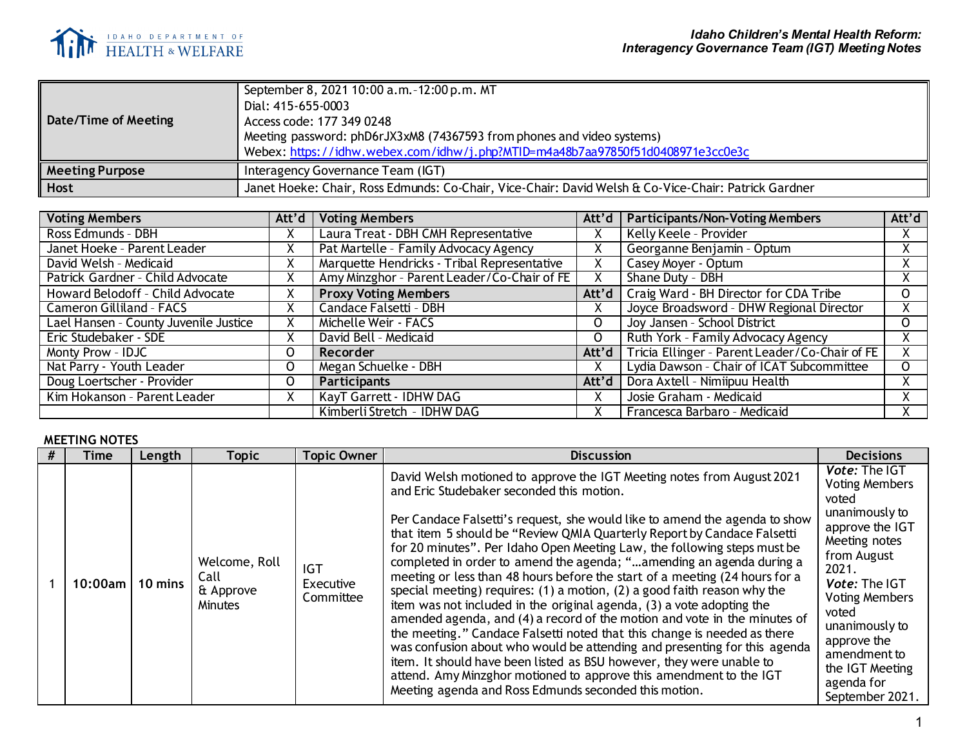

| Date/Time of Meeting   | September 8, 2021 10:00 a.m. -12:00 p.m. MT<br>Dial: 415-655-0003<br>Access code: 177 349 0248<br>Meeting password: phD6rJX3xM8 (74367593 from phones and video systems)<br>Webex: https://idhw.webex.com/idhw/j.php?MTID=m4a48b7aa97850f51d0408971e3cc0e3c |
|------------------------|-------------------------------------------------------------------------------------------------------------------------------------------------------------------------------------------------------------------------------------------------------------|
| <b>Meeting Purpose</b> | Interagency Governance Team (IGT)                                                                                                                                                                                                                           |
| <b>Host</b>            | Janet Hoeke: Chair, Ross Edmunds: Co-Chair, Vice-Chair: David Welsh & Co-Vice-Chair: Patrick Gardner                                                                                                                                                        |

| <b>Voting Members</b>                 | Att'd | <b>Voting Members</b>                       | Att'd | <b>Participants/Non-Voting Members</b>         | Att'd    |
|---------------------------------------|-------|---------------------------------------------|-------|------------------------------------------------|----------|
| Ross Edmunds - DBH                    | X     | Laura Treat - DBH CMH Representative        | X.    | Kelly Keele - Provider                         |          |
| Janet Hoeke - Parent Leader           | X     | Pat Martelle - Family Advocacy Agency       | x.    | Georganne Benjamin - Optum                     |          |
| David Welsh - Medicaid                | X     | Marquette Hendricks - Tribal Representative |       | Casey Moyer - Optum                            |          |
| Patrick Gardner - Child Advocate      | X     | Amy Minzghor - Parent Leader/Co-Chair of FE | Х.    | Shane Duty - DBH                               |          |
| Howard Belodoff - Child Advocate<br>X |       | <b>Proxy Voting Members</b>                 |       | Att'd   Craig Ward - BH Director for CDA Tribe |          |
| X<br><b>Cameron Gilliland - FACS</b>  |       | Candace Falsetti - DBH                      |       | Joyce Broadsword - DHW Regional Director       |          |
| Lael Hansen - County Juvenile Justice | X     | Michelle Weir - FACS                        |       | Joy Jansen - School District                   | $\Omega$ |
| Eric Studebaker - SDE                 | X     | David Bell - Medicaid                       |       | Ruth York - Family Advocacy Agency             |          |
| Monty Prow - IDJC<br>0                |       | Recorder                                    | Att'd | Tricia Ellinger - Parent Leader/Co-Chair of FE |          |
| Nat Parry - Youth Leader<br>0         |       | Megan Schuelke - DBH                        |       | Lydia Dawson - Chair of ICAT Subcommittee      | $\Omega$ |
| Doug Loertscher - Provider<br>0       |       | <b>Participants</b>                         |       | Att'd   Dora Axtell - Nimiipuu Health          |          |
| Kim Hokanson - Parent Leader<br>X     |       | KayT Garrett - IDHW DAG                     | X.    | Josie Graham - Medicaid                        |          |
|                                       |       | Kimberli Stretch - IDHW DAG                 |       | Francesca Barbaro - Medicaid                   |          |

## **MEETING NOTES**

| Time      | Length  | <b>Topic</b>                                  | <b>Topic Owner</b>                   | <b>Discussion</b>                                                                                                                                                                                                                                                                                                                                                                                                                                                                                                                                                                                                                                                                                                                                 | <b>Decisions</b>                                                                                                                                                                               |
|-----------|---------|-----------------------------------------------|--------------------------------------|---------------------------------------------------------------------------------------------------------------------------------------------------------------------------------------------------------------------------------------------------------------------------------------------------------------------------------------------------------------------------------------------------------------------------------------------------------------------------------------------------------------------------------------------------------------------------------------------------------------------------------------------------------------------------------------------------------------------------------------------------|------------------------------------------------------------------------------------------------------------------------------------------------------------------------------------------------|
| 10:00am l | 10 mins | Welcome, Roll<br>Call<br>& Approve<br>Minutes | <b>IGT</b><br>Executive<br>Committee | David Welsh motioned to approve the IGT Meeting notes from August 2021<br>and Eric Studebaker seconded this motion.<br>Per Candace Falsetti's request, she would like to amend the agenda to show<br>that item 5 should be "Review QMIA Quarterly Report by Candace Falsetti<br>for 20 minutes". Per Idaho Open Meeting Law, the following steps must be<br>completed in order to amend the agenda; "amending an agenda during a<br>meeting or less than 48 hours before the start of a meeting (24 hours for a<br>special meeting) requires: (1) a motion, (2) a good faith reason why the<br>item was not included in the original agenda, (3) a vote adopting the<br>amended agenda, and (4) a record of the motion and vote in the minutes of | <b>Vote: The IGT</b><br><b>Voting Members</b><br>voted<br>unanimously to<br>approve the IGT<br>Meeting notes<br>from August<br>2021.<br><b>Vote: The IGT</b><br><b>Voting Members</b><br>voted |
|           |         |                                               |                                      | the meeting." Candace Falsetti noted that this change is needed as there<br>was confusion about who would be attending and presenting for this agenda<br>item. It should have been listed as BSU however, they were unable to<br>attend. Amy Minzghor motioned to approve this amendment to the IGT<br>Meeting agenda and Ross Edmunds seconded this motion.                                                                                                                                                                                                                                                                                                                                                                                      | unanimously to<br>approve the<br>amendment to<br>the IGT Meeting<br>agenda for<br>September 2021.                                                                                              |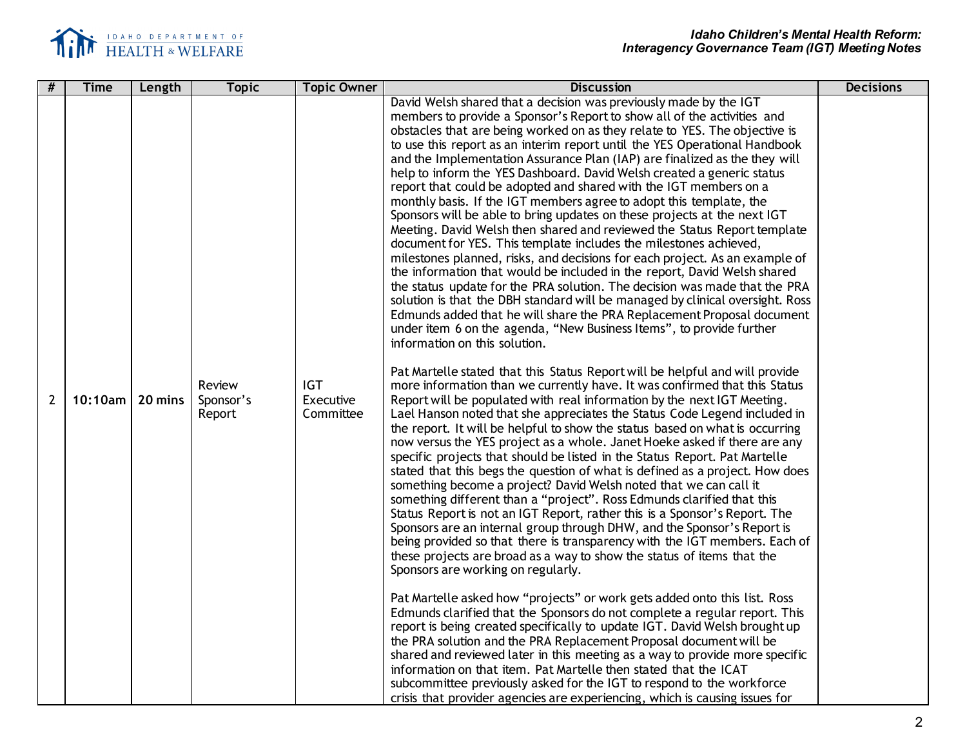

| #              | Time                 | Length | <b>Topic</b>                  | <b>Topic Owner</b>                   | <b>Discussion</b>                                                                                                                                                                                                                                                                                                                                                                                                                                                                                                                                                                                                                                                                                                                                                                                                                                                                                                                                                                                                                                                                                                                                                                                                                                                                                                                                                                                                                                                                                                                                                                                                                                                                                                                                                                                                                                                                                                                                                                                                                                                                                                                                                                                                                                                                                                                                                                                                                                                                                                                                                                                                                                                                                                                                                                                                                                                                                                                                                                                                                                                                                                                       | <b>Decisions</b> |
|----------------|----------------------|--------|-------------------------------|--------------------------------------|-----------------------------------------------------------------------------------------------------------------------------------------------------------------------------------------------------------------------------------------------------------------------------------------------------------------------------------------------------------------------------------------------------------------------------------------------------------------------------------------------------------------------------------------------------------------------------------------------------------------------------------------------------------------------------------------------------------------------------------------------------------------------------------------------------------------------------------------------------------------------------------------------------------------------------------------------------------------------------------------------------------------------------------------------------------------------------------------------------------------------------------------------------------------------------------------------------------------------------------------------------------------------------------------------------------------------------------------------------------------------------------------------------------------------------------------------------------------------------------------------------------------------------------------------------------------------------------------------------------------------------------------------------------------------------------------------------------------------------------------------------------------------------------------------------------------------------------------------------------------------------------------------------------------------------------------------------------------------------------------------------------------------------------------------------------------------------------------------------------------------------------------------------------------------------------------------------------------------------------------------------------------------------------------------------------------------------------------------------------------------------------------------------------------------------------------------------------------------------------------------------------------------------------------------------------------------------------------------------------------------------------------------------------------------------------------------------------------------------------------------------------------------------------------------------------------------------------------------------------------------------------------------------------------------------------------------------------------------------------------------------------------------------------------------------------------------------------------------------------------------------------------|------------------|
| $\overline{2}$ | $10:10$ am   20 mins |        | Review<br>Sponsor's<br>Report | <b>IGT</b><br>Executive<br>Committee | David Welsh shared that a decision was previously made by the IGT<br>members to provide a Sponsor's Report to show all of the activities and<br>obstacles that are being worked on as they relate to YES. The objective is<br>to use this report as an interim report until the YES Operational Handbook<br>and the Implementation Assurance Plan (IAP) are finalized as the they will<br>help to inform the YES Dashboard. David Welsh created a generic status<br>report that could be adopted and shared with the IGT members on a<br>monthly basis. If the IGT members agree to adopt this template, the<br>Sponsors will be able to bring updates on these projects at the next IGT<br>Meeting. David Welsh then shared and reviewed the Status Report template<br>document for YES. This template includes the milestones achieved,<br>milestones planned, risks, and decisions for each project. As an example of<br>the information that would be included in the report, David Welsh shared<br>the status update for the PRA solution. The decision was made that the PRA<br>solution is that the DBH standard will be managed by clinical oversight. Ross<br>Edmunds added that he will share the PRA Replacement Proposal document<br>under item 6 on the agenda, "New Business Items", to provide further<br>information on this solution.<br>Pat Martelle stated that this Status Report will be helpful and will provide<br>more information than we currently have. It was confirmed that this Status<br>Report will be populated with real information by the next IGT Meeting.<br>Lael Hanson noted that she appreciates the Status Code Legend included in<br>the report. It will be helpful to show the status based on what is occurring<br>now versus the YES project as a whole. Janet Hoeke asked if there are any<br>specific projects that should be listed in the Status Report. Pat Martelle<br>stated that this begs the question of what is defined as a project. How does<br>something become a project? David Welsh noted that we can call it<br>something different than a "project". Ross Edmunds clarified that this<br>Status Report is not an IGT Report, rather this is a Sponsor's Report. The<br>Sponsors are an internal group through DHW, and the Sponsor's Report is<br>being provided so that there is transparency with the IGT members. Each of<br>these projects are broad as a way to show the status of items that the<br>Sponsors are working on regularly.<br>Pat Martelle asked how "projects" or work gets added onto this list. Ross<br>Edmunds clarified that the Sponsors do not complete a regular report. This<br>report is being created specifically to update IGT. David Welsh brought up<br>the PRA solution and the PRA Replacement Proposal document will be<br>shared and reviewed later in this meeting as a way to provide more specific<br>information on that item. Pat Martelle then stated that the ICAT<br>subcommittee previously asked for the IGT to respond to the workforce<br>crisis that provider agencies are experiencing, which is causing issues for |                  |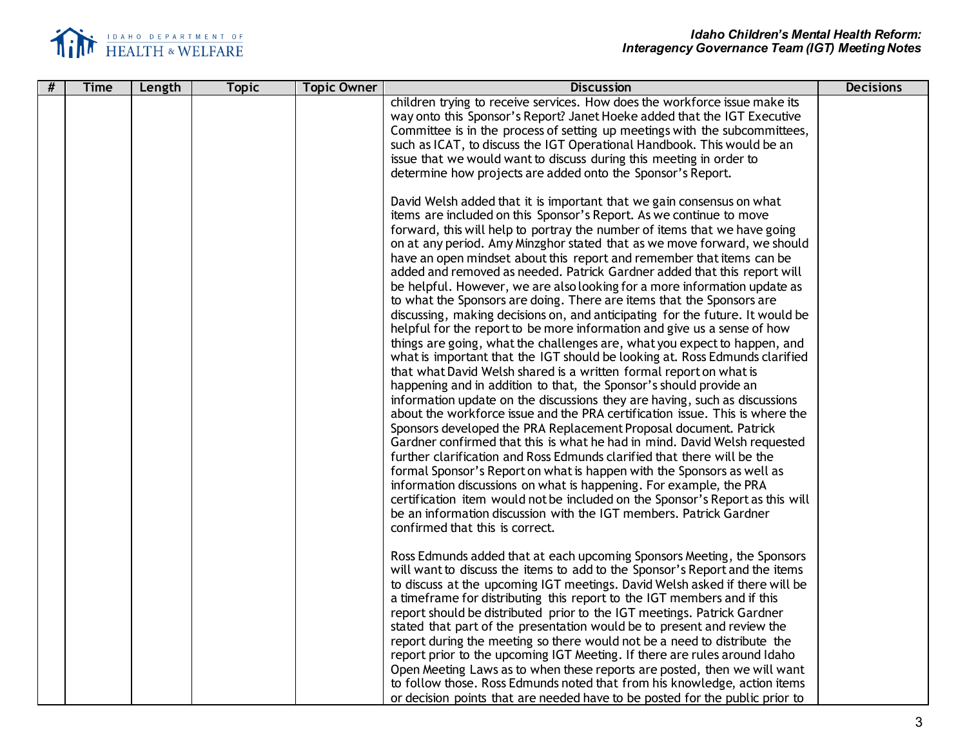

| # |             |        |              |                    |                                                                                                                                                                                                                                                                                                                                                                                                                                                                                                                                                                                                                                                                                                                                                                                                                                                                                                                                                                                                                                                                                                                                                                                                                                                                                                                                                                                                                                                                                                                                                                                                                                                                                                                                                                                                                                                                                                                                                                                                                                                                                                                                                                                                                                                                                                          | <b>Decisions</b> |
|---|-------------|--------|--------------|--------------------|----------------------------------------------------------------------------------------------------------------------------------------------------------------------------------------------------------------------------------------------------------------------------------------------------------------------------------------------------------------------------------------------------------------------------------------------------------------------------------------------------------------------------------------------------------------------------------------------------------------------------------------------------------------------------------------------------------------------------------------------------------------------------------------------------------------------------------------------------------------------------------------------------------------------------------------------------------------------------------------------------------------------------------------------------------------------------------------------------------------------------------------------------------------------------------------------------------------------------------------------------------------------------------------------------------------------------------------------------------------------------------------------------------------------------------------------------------------------------------------------------------------------------------------------------------------------------------------------------------------------------------------------------------------------------------------------------------------------------------------------------------------------------------------------------------------------------------------------------------------------------------------------------------------------------------------------------------------------------------------------------------------------------------------------------------------------------------------------------------------------------------------------------------------------------------------------------------------------------------------------------------------------------------------------------------|------------------|
|   | <b>Time</b> | Length | <b>Topic</b> | <b>Topic Owner</b> | <b>Discussion</b><br>children trying to receive services. How does the workforce issue make its<br>way onto this Sponsor's Report? Janet Hoeke added that the IGT Executive<br>Committee is in the process of setting up meetings with the subcommittees,<br>such as ICAT, to discuss the IGT Operational Handbook. This would be an<br>issue that we would want to discuss during this meeting in order to<br>determine how projects are added onto the Sponsor's Report.<br>David Welsh added that it is important that we gain consensus on what<br>items are included on this Sponsor's Report. As we continue to move<br>forward, this will help to portray the number of items that we have going<br>on at any period. Amy Minzghor stated that as we move forward, we should<br>have an open mindset about this report and remember that items can be<br>added and removed as needed. Patrick Gardner added that this report will<br>be helpful. However, we are also looking for a more information update as<br>to what the Sponsors are doing. There are items that the Sponsors are<br>discussing, making decisions on, and anticipating for the future. It would be<br>helpful for the report to be more information and give us a sense of how<br>things are going, what the challenges are, what you expect to happen, and<br>what is important that the IGT should be looking at. Ross Edmunds clarified<br>that what David Welsh shared is a written formal report on what is<br>happening and in addition to that, the Sponsor's should provide an<br>information update on the discussions they are having, such as discussions<br>about the workforce issue and the PRA certification issue. This is where the<br>Sponsors developed the PRA Replacement Proposal document. Patrick<br>Gardner confirmed that this is what he had in mind. David Welsh requested<br>further clarification and Ross Edmunds clarified that there will be the<br>formal Sponsor's Report on what is happen with the Sponsors as well as<br>information discussions on what is happening. For example, the PRA<br>certification item would not be included on the Sponsor's Report as this will<br>be an information discussion with the IGT members. Patrick Gardner<br>confirmed that this is correct. |                  |
|   |             |        |              |                    | Ross Edmunds added that at each upcoming Sponsors Meeting, the Sponsors<br>will want to discuss the items to add to the Sponsor's Report and the items<br>to discuss at the upcoming IGT meetings. David Welsh asked if there will be<br>a timeframe for distributing this report to the IGT members and if this<br>report should be distributed prior to the IGT meetings. Patrick Gardner<br>stated that part of the presentation would be to present and review the<br>report during the meeting so there would not be a need to distribute the<br>report prior to the upcoming IGT Meeting. If there are rules around Idaho<br>Open Meeting Laws as to when these reports are posted, then we will want<br>to follow those. Ross Edmunds noted that from his knowledge, action items<br>or decision points that are needed have to be posted for the public prior to                                                                                                                                                                                                                                                                                                                                                                                                                                                                                                                                                                                                                                                                                                                                                                                                                                                                                                                                                                                                                                                                                                                                                                                                                                                                                                                                                                                                                                 |                  |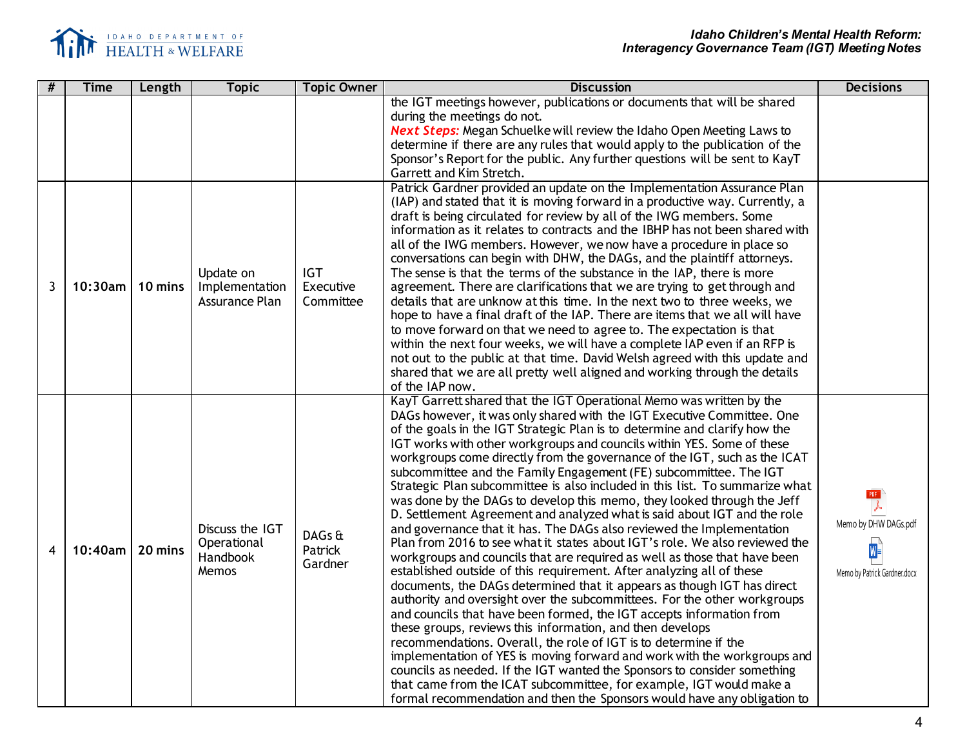

| #                       | <b>Time</b> | Length  | <b>Topic</b>                                        | <b>Topic Owner</b>                   | <b>Discussion</b>                                                                                                                                                                                                                                                                                                                                                                                                                                                                                                                                                                                                                                                                                                                                                                                                                                                                                                                                                                                                                                                                                                                                                                                                                                                                                                                                                                                                                                                                                                                                                                                                                                                                        | <b>Decisions</b>                                                                                |
|-------------------------|-------------|---------|-----------------------------------------------------|--------------------------------------|------------------------------------------------------------------------------------------------------------------------------------------------------------------------------------------------------------------------------------------------------------------------------------------------------------------------------------------------------------------------------------------------------------------------------------------------------------------------------------------------------------------------------------------------------------------------------------------------------------------------------------------------------------------------------------------------------------------------------------------------------------------------------------------------------------------------------------------------------------------------------------------------------------------------------------------------------------------------------------------------------------------------------------------------------------------------------------------------------------------------------------------------------------------------------------------------------------------------------------------------------------------------------------------------------------------------------------------------------------------------------------------------------------------------------------------------------------------------------------------------------------------------------------------------------------------------------------------------------------------------------------------------------------------------------------------|-------------------------------------------------------------------------------------------------|
|                         |             |         |                                                     |                                      | the IGT meetings however, publications or documents that will be shared<br>during the meetings do not.<br><b>Next Steps:</b> Megan Schuelke will review the Idaho Open Meeting Laws to<br>determine if there are any rules that would apply to the publication of the<br>Sponsor's Report for the public. Any further questions will be sent to KayT<br>Garrett and Kim Stretch.                                                                                                                                                                                                                                                                                                                                                                                                                                                                                                                                                                                                                                                                                                                                                                                                                                                                                                                                                                                                                                                                                                                                                                                                                                                                                                         |                                                                                                 |
| $\mathbf{3}$            | $10:30$ am  | 10 mins | Update on<br>Implementation<br>Assurance Plan       | <b>IGT</b><br>Executive<br>Committee | Patrick Gardner provided an update on the Implementation Assurance Plan<br>(IAP) and stated that it is moving forward in a productive way. Currently, a<br>draft is being circulated for review by all of the IWG members. Some<br>information as it relates to contracts and the IBHP has not been shared with<br>all of the IWG members. However, we now have a procedure in place so<br>conversations can begin with DHW, the DAGs, and the plaintiff attorneys.<br>The sense is that the terms of the substance in the IAP, there is more<br>agreement. There are clarifications that we are trying to get through and<br>details that are unknow at this time. In the next two to three weeks, we<br>hope to have a final draft of the IAP. There are items that we all will have<br>to move forward on that we need to agree to. The expectation is that<br>within the next four weeks, we will have a complete IAP even if an RFP is<br>not out to the public at that time. David Welsh agreed with this update and<br>shared that we are all pretty well aligned and working through the details<br>of the IAP now.                                                                                                                                                                                                                                                                                                                                                                                                                                                                                                                                                              |                                                                                                 |
| $\overline{\mathbf{4}}$ | $10:40$ am  | 20 mins | Discuss the IGT<br>Operational<br>Handbook<br>Memos | DAGs &<br>Patrick<br>Gardner         | KayT Garrett shared that the IGT Operational Memo was written by the<br>DAGs however, it was only shared with the IGT Executive Committee. One<br>of the goals in the IGT Strategic Plan is to determine and clarify how the<br>IGT works with other workgroups and councils within YES. Some of these<br>workgroups come directly from the governance of the IGT, such as the ICAT<br>subcommittee and the Family Engagement (FE) subcommittee. The IGT<br>Strategic Plan subcommittee is also included in this list. To summarize what<br>was done by the DAGs to develop this memo, they looked through the Jeff<br>D. Settlement Agreement and analyzed what is said about IGT and the role<br>and governance that it has. The DAGs also reviewed the Implementation<br>Plan from 2016 to see what it states about IGT's role. We also reviewed the<br>workgroups and councils that are required as well as those that have been<br>established outside of this requirement. After analyzing all of these<br>documents, the DAGs determined that it appears as though IGT has direct<br>authority and oversight over the subcommittees. For the other workgroups<br>and councils that have been formed, the IGT accepts information from<br>these groups, reviews this information, and then develops<br>recommendations. Overall, the role of IGT is to determine if the<br>implementation of YES is moving forward and work with the workgroups and<br>councils as needed. If the IGT wanted the Sponsors to consider something<br>that came from the ICAT subcommittee, for example, IGT would make a<br>formal recommendation and then the Sponsors would have any obligation to | $rac{PDF}{\lambda}$<br>Memo by DHW DAGs.pdf<br>$W^{\mathbb{C}}$<br>Memo by Patrick Gardner.docx |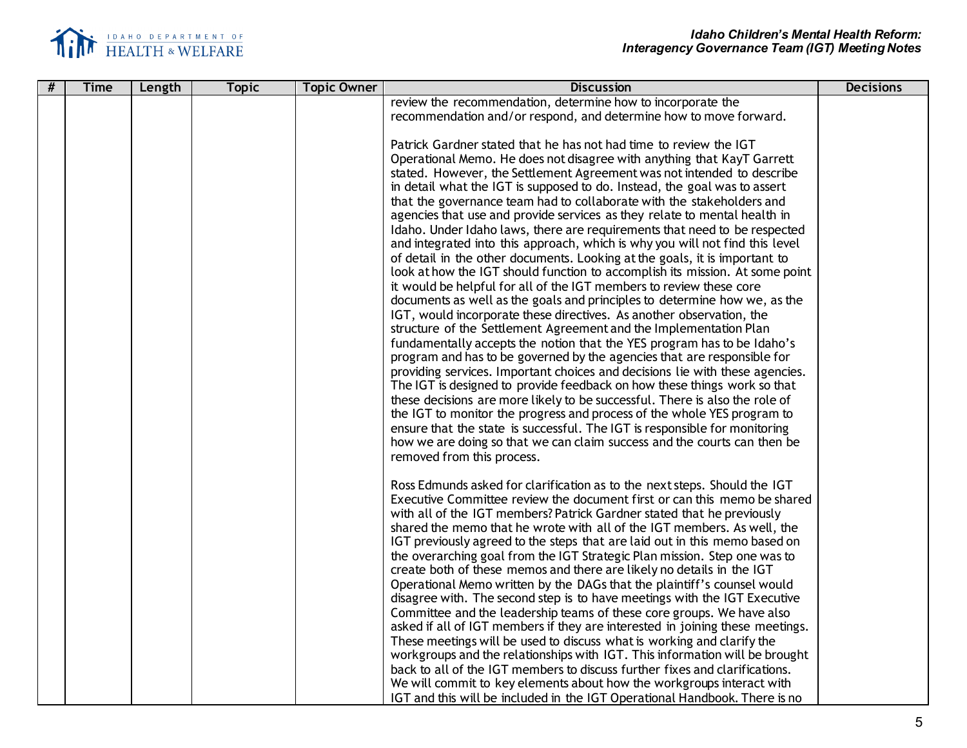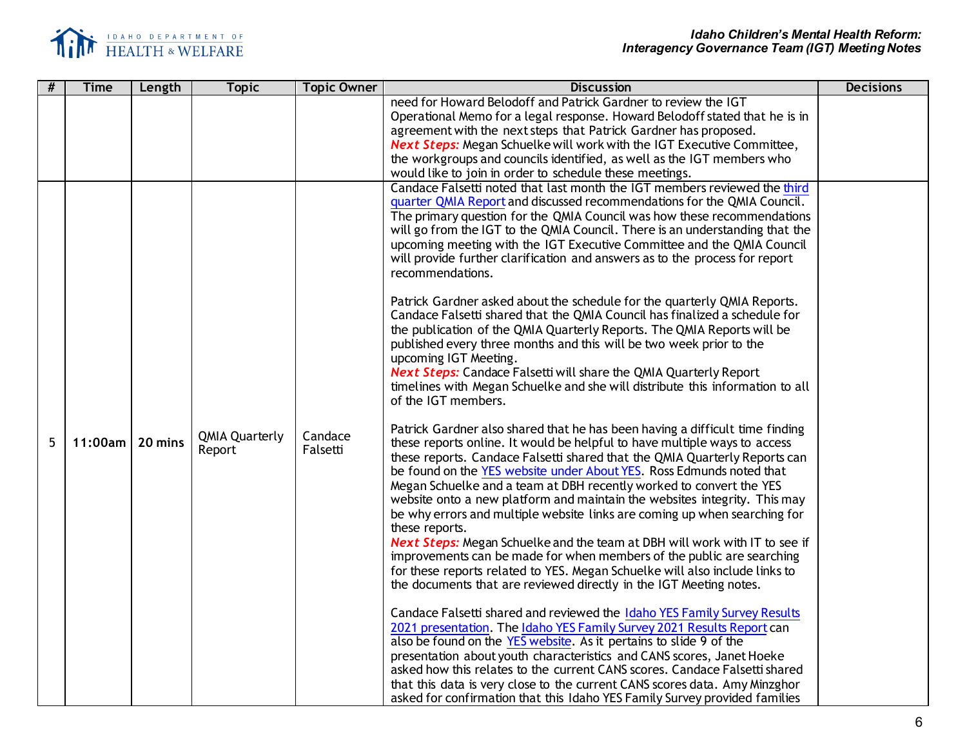

| # | <b>Time</b> | Length  | <b>Topic</b>                    | <b>Topic Owner</b>  | <b>Discussion</b>                                                                                                                                                                                                                                                                                                                                                                                                                                                                                                                                                                                                                                                                                                                                                                                                                                                                                                                                                                                                                                                                                                                                                                                                                                                                                                                                                                                                                                                                                                                                                                                                                                                                                                                                                                                                                                                                                                                                                                                                                                                                                                                                                                                                                                                                                                                                                                                                                                             | <b>Decisions</b> |
|---|-------------|---------|---------------------------------|---------------------|---------------------------------------------------------------------------------------------------------------------------------------------------------------------------------------------------------------------------------------------------------------------------------------------------------------------------------------------------------------------------------------------------------------------------------------------------------------------------------------------------------------------------------------------------------------------------------------------------------------------------------------------------------------------------------------------------------------------------------------------------------------------------------------------------------------------------------------------------------------------------------------------------------------------------------------------------------------------------------------------------------------------------------------------------------------------------------------------------------------------------------------------------------------------------------------------------------------------------------------------------------------------------------------------------------------------------------------------------------------------------------------------------------------------------------------------------------------------------------------------------------------------------------------------------------------------------------------------------------------------------------------------------------------------------------------------------------------------------------------------------------------------------------------------------------------------------------------------------------------------------------------------------------------------------------------------------------------------------------------------------------------------------------------------------------------------------------------------------------------------------------------------------------------------------------------------------------------------------------------------------------------------------------------------------------------------------------------------------------------------------------------------------------------------------------------------------------------|------------------|
|   |             |         |                                 |                     | need for Howard Belodoff and Patrick Gardner to review the IGT<br>Operational Memo for a legal response. Howard Belodoff stated that he is in<br>agreement with the next steps that Patrick Gardner has proposed.<br><b>Next Steps:</b> Megan Schuelke will work with the IGT Executive Committee,<br>the workgroups and councils identified, as well as the IGT members who<br>would like to join in order to schedule these meetings.                                                                                                                                                                                                                                                                                                                                                                                                                                                                                                                                                                                                                                                                                                                                                                                                                                                                                                                                                                                                                                                                                                                                                                                                                                                                                                                                                                                                                                                                                                                                                                                                                                                                                                                                                                                                                                                                                                                                                                                                                       |                  |
| 5 | 11:00am l   | 20 mins | <b>QMIA Quarterly</b><br>Report | Candace<br>Falsetti | Candace Falsetti noted that last month the IGT members reviewed the third<br>quarter QMIA Report and discussed recommendations for the QMIA Council.<br>The primary question for the QMIA Council was how these recommendations<br>will go from the IGT to the QMIA Council. There is an understanding that the<br>upcoming meeting with the IGT Executive Committee and the QMIA Council<br>will provide further clarification and answers as to the process for report<br>recommendations.<br>Patrick Gardner asked about the schedule for the quarterly QMIA Reports.<br>Candace Falsetti shared that the QMIA Council has finalized a schedule for<br>the publication of the QMIA Quarterly Reports. The QMIA Reports will be<br>published every three months and this will be two week prior to the<br>upcoming IGT Meeting.<br><b>Next Steps:</b> Candace Falsetti will share the QMIA Quarterly Report<br>timelines with Megan Schuelke and she will distribute this information to all<br>of the IGT members.<br>Patrick Gardner also shared that he has been having a difficult time finding<br>these reports online. It would be helpful to have multiple ways to access<br>these reports. Candace Falsetti shared that the QMIA Quarterly Reports can<br>be found on the YES website under About YES. Ross Edmunds noted that<br>Megan Schuelke and a team at DBH recently worked to convert the YES<br>website onto a new platform and maintain the websites integrity. This may<br>be why errors and multiple website links are coming up when searching for<br>these reports.<br><b>Next Steps:</b> Megan Schuelke and the team at DBH will work with IT to see if<br>improvements can be made for when members of the public are searching<br>for these reports related to YES. Megan Schuelke will also include links to<br>the documents that are reviewed directly in the IGT Meeting notes.<br>Candace Falsetti shared and reviewed the Idaho YES Family Survey Results<br>2021 presentation. The Idaho YES Family Survey 2021 Results Report can<br>also be found on the YES website. As it pertains to slide 9 of the<br>presentation about youth characteristics and CANS scores, Janet Hoeke<br>asked how this relates to the current CANS scores. Candace Falsetti shared<br>that this data is very close to the current CANS scores data. Amy Minzghor<br>asked for confirmation that this Idaho YES Family Survey provided families |                  |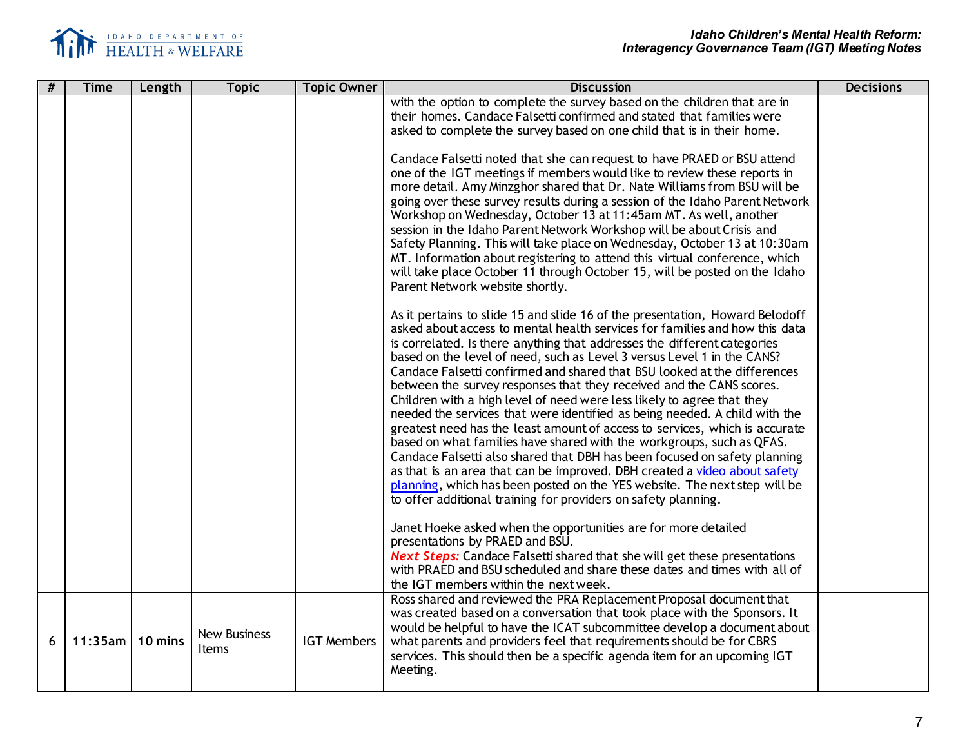

| # | <b>Time</b> | Length  | <b>Topic</b>                 | <b>Topic Owner</b> | <b>Discussion</b>                                                                                                                                                                                                                                                                                                                                                                                                                                                                                                                                                                                                                                                                                                                                                                                                                                                                                                                                                                                                                                                                                                                                                                                                                                                                                                             | <b>Decisions</b> |
|---|-------------|---------|------------------------------|--------------------|-------------------------------------------------------------------------------------------------------------------------------------------------------------------------------------------------------------------------------------------------------------------------------------------------------------------------------------------------------------------------------------------------------------------------------------------------------------------------------------------------------------------------------------------------------------------------------------------------------------------------------------------------------------------------------------------------------------------------------------------------------------------------------------------------------------------------------------------------------------------------------------------------------------------------------------------------------------------------------------------------------------------------------------------------------------------------------------------------------------------------------------------------------------------------------------------------------------------------------------------------------------------------------------------------------------------------------|------------------|
|   |             |         |                              |                    | with the option to complete the survey based on the children that are in<br>their homes. Candace Falsetti confirmed and stated that families were<br>asked to complete the survey based on one child that is in their home.<br>Candace Falsetti noted that she can request to have PRAED or BSU attend<br>one of the IGT meetings if members would like to review these reports in<br>more detail. Amy Minzghor shared that Dr. Nate Williams from BSU will be<br>going over these survey results during a session of the Idaho Parent Network<br>Workshop on Wednesday, October 13 at 11:45am MT. As well, another<br>session in the Idaho Parent Network Workshop will be about Crisis and<br>Safety Planning. This will take place on Wednesday, October 13 at 10:30am<br>MT. Information about registering to attend this virtual conference, which<br>will take place October 11 through October 15, will be posted on the Idaho<br>Parent Network website shortly.<br>As it pertains to slide 15 and slide 16 of the presentation, Howard Belodoff                                                                                                                                                                                                                                                                      |                  |
|   |             |         |                              |                    | asked about access to mental health services for families and how this data<br>is correlated. Is there anything that addresses the different categories<br>based on the level of need, such as Level 3 versus Level 1 in the CANS?<br>Candace Falsetti confirmed and shared that BSU looked at the differences<br>between the survey responses that they received and the CANS scores.<br>Children with a high level of need were less likely to agree that they<br>needed the services that were identified as being needed. A child with the<br>greatest need has the least amount of access to services, which is accurate<br>based on what families have shared with the workgroups, such as QFAS.<br>Candace Falsetti also shared that DBH has been focused on safety planning<br>as that is an area that can be improved. DBH created a video about safety<br>planning, which has been posted on the YES website. The next step will be<br>to offer additional training for providers on safety planning.<br>Janet Hoeke asked when the opportunities are for more detailed<br>presentations by PRAED and BSU.<br><b>Next Steps:</b> Candace Falsetti shared that she will get these presentations<br>with PRAED and BSU scheduled and share these dates and times with all of<br>the IGT members within the next week. |                  |
| 6 | $11:35$ am  | 10 mins | <b>New Business</b><br>Items | <b>IGT Members</b> | Ross shared and reviewed the PRA Replacement Proposal document that<br>was created based on a conversation that took place with the Sponsors. It<br>would be helpful to have the ICAT subcommittee develop a document about<br>what parents and providers feel that requirements should be for CBRS<br>services. This should then be a specific agenda item for an upcoming IGT<br>Meeting.                                                                                                                                                                                                                                                                                                                                                                                                                                                                                                                                                                                                                                                                                                                                                                                                                                                                                                                                   |                  |